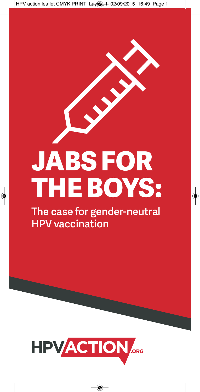# **JABS FOR THE BOYS:**

**The case for gender-neutral HPV vaccination**

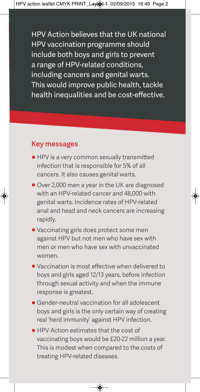HPV Action believes that the UK national HPV vaccination programme should include both boys and girls to prevent a range of HPV-related conditions, including cancers and genital warts. This would improve public health, tackle health inequalities and be cost-effective.

#### **Key messages**

- HPV is a very common sexually transmitted infection that is responsible for 5% of all cancers. It also causes genital warts.
- Over 2,000 men a year in the UK are diagnosed with an HPV-related cancer and 48,000 with genital warts. Incidence rates of HPV-related anal and head and neck cancers are increasing rapidly.
- Vaccinating girls does protect some men against HPV but not men who have sex with men or men who have sex with unvaccinated women.
- Vaccination is most effective when delivered to boys and girls aged 12/13 years, before infection through sexual activity and when the immune response is greatest.
- Gender-neutral vaccination for all adolescent boys and girls is the only certain way of creating real 'herd immunity' against HPV infection.
- HPV Action estimates that the cost of vaccinating boys would be £20-22 million a year. This is modest when compared to the costs of treating HPV-related diseases.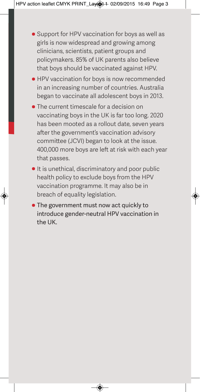- Support for HPV vaccination for boys as well as girls is now widespread and growing among clinicians, scientists, patient groups and policymakers. 85% of UK parents also believe that boys should be vaccinated against HPV.
- HPV vaccination for boys is now recommended in an increasing number of countries. Australia began to vaccinate all adolescent boys in 2013.
- The current timescale for a decision on vaccinating boys in the UK is far too long. 2020 has been mooted as a rollout date, seven years after the government's vaccination advisory committee (JCVI) began to look at the issue. 400,000 more boys are left at risk with each year that passes.
- It is unethical, discriminatory and poor public health policy to exclude boys from the HPV vaccination programme. It may also be in breach of equality legislation.
- The government must now act quickly to introduce gender-neutral HPV vaccination in the UK.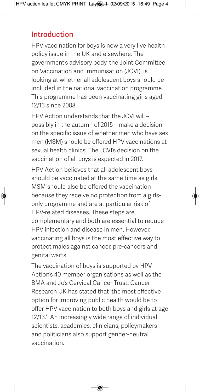#### **Introduction**

HPV vaccination for boys is now a very live health policy issue in the UK and elsewhere. The government's advisory body, the Joint Committee on Vaccination and Immunisation (JCVI), is looking at whether all adolescent boys should be included in the national vaccination programme. This programme has been vaccinating girls aged 12/13 since 2008.

HPV Action understands that the JCVI will – possibly in the autumn of 2015 – make a decision on the specific issue of whether men who have sex men (MSM) should be offered HPV vaccinations at sexual health clinics. The JCVI's decision on the vaccination of all boys is expected in 2017.

HPV Action believes that all adolescent boys should be vaccinated at the same time as girls. MSM should also be offered the vaccination because they receive no protection from a girlsonly programme and are at particular risk of HPV-related diseases. These steps are complementary and both are essential to reduce HPV infection and disease in men. However, vaccinating all boys is the most effective way to protect males against cancer, pre-cancers and genital warts.

The vaccination of boys is supported by HPV Action's 40 member organisations as well as the BMA and Jo's Cervical Cancer Trust. Cancer Research UK has stated that 'the most effective option for improving public health would be to offer HPV vaccination to both boys and girls at age 12/13.<sup>4</sup> An increasingly wide range of individual scientists, academics, clinicians, policymakers and politicians also support gender-neutral vaccination.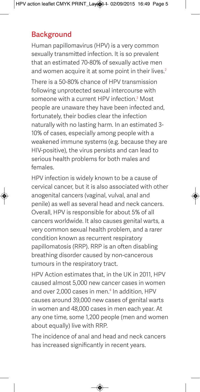## **Background**

Human papillomavirus (HPV) is a very common sexually transmitted infection. It is so prevalent that an estimated 70-80% of sexually active men and women acquire it at some point in their lives.<sup>2</sup> There is a 50-80% chance of HPV transmission following unprotected sexual intercourse with someone with a current HPV infection  $3$  Most people are unaware they have been infected and, fortunately, their bodies clear the infection naturally with no lasting harm. In an estimated 3- 10% of cases, especially among people with a weakened immune systems (e.g. because they are HIV-positive), the virus persists and can lead to serious health problems for both males and females.

HPV infection is widely known to be a cause of cervical cancer, but it is also associated with other anogenital cancers (vaginal, vulval, anal and penile) as well as several head and neck cancers. Overall, HPV is responsible for about 5% of all cancers worldwide. It also causes genital warts, a very common sexual health problem, and a rarer condition known as recurrent respiratory papillomatosis (RRP). RRP is an often disabling breathing disorder caused by non-cancerous tumours in the respiratory tract.

HPV Action estimates that, in the UK in 2011, HPV caused almost 5,000 new cancer cases in women and over 2,000 cases in men.<sup>4</sup> In addition, HPV causes around 39,000 new cases of genital warts in women and 48,000 cases in men each year. At any one time, some 1,200 people (men and women about equally) live with RRP.

The incidence of anal and head and neck cancers has increased significantly in recent years.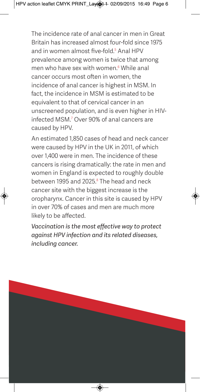The incidence rate of anal cancer in men in Great Britain has increased almost four-fold since 1975 and in women almost five-fold.<sup>5</sup> Anal HPV prevalence among women is twice that among men who have sex with women.<sup>6</sup> While anal cancer occurs most often in women, the incidence of anal cancer is highest in MSM. In fact, the incidence in MSM is estimated to be equivalent to that of cervical cancer in an unscreened population, and is even higher in HIVinfected MSM<sup>7</sup> Over 90% of anal cancers are caused by HPV.

An estimated 1,850 cases of head and neck cancer were caused by HPV in the UK in 2011, of which over 1,400 were in men. The incidence of these cancers is rising dramatically: the rate in men and women in England is expected to roughly double between 1995 and 2025.<sup>8</sup> The head and neck cancer site with the biggest increase is the oropharynx. Cancer in this site is caused by HPV in over 70% of cases and men are much more likely to be affected.

*Vaccination is the most effective way to protect against HPV infection and its related diseases, including cancer.*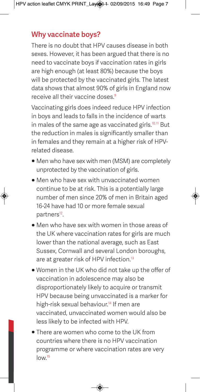## **Why vaccinate boys?**

There is no doubt that HPV causes disease in both sexes. However, it has been argued that there is no need to vaccinate boys if vaccination rates in girls are high enough (at least 80%) because the boys will be protected by the vaccinated girls. The latest data shows that almost 90% of girls in England now receive all their vaccine doses.<sup>9</sup>

Vaccinating girls does indeed reduce HPV infection in boys and leads to falls in the incidence of warts in males of the same age as vaccinated girls.<sup>10,11</sup> But the reduction in males is significantly smaller than in females and they remain at a higher risk of HPVrelated disease.

- Men who have sex with men (MSM) are completely unprotected by the vaccination of girls.
- Men who have sex with unvaccinated women continue to be at risk. This is a potentially large number of men since 20% of men in Britain aged 16-24 have had 10 or more female sexual partners<sup>12</sup>.
- Men who have sex with women in those areas of the UK where vaccination rates for girls are much lower than the national average, such as East Sussex, Cornwall and several London boroughs, are at greater risk of HPV infection.<sup>13</sup>
- Women in the UK who did not take up the offer of vaccination in adolescence may also be disproportionately likely to acquire or transmit HPV because being unvaccinated is a marker for high-risk sexual behaviour.<sup>14</sup> If men are vaccinated, unvaccinated women would also be less likely to be infected with HPV.
- There are women who come to the UK from countries where there is no HPV vaccination programme or where vaccination rates are very  $\frac{10^{15}}{2}$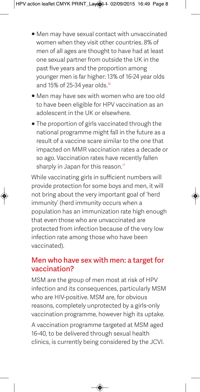- Men may have sexual contact with unvaccinated women when they visit other countries. 8% of men of all ages are thought to have had at least one sexual partner from outside the UK in the past five years and the proportion among younger men is far higher: 13% of 16-24 year olds and 15% of 25-34 year olds. $16$
- Men may have sex with women who are too old to have been eligible for HPV vaccination as an adolescent in the UK or elsewhere.
- The proportion of girls vaccinated through the national programme might fall in the future as a result of a vaccine scare similar to the one that impacted on MMR vaccination rates a decade or so ago. Vaccination rates have recently fallen sharply in Japan for this reason. $17$

While vaccinating girls in sufficient numbers will provide protection for some boys and men, it will not bring about the very important goal of 'herd immunity' (herd immunity occurs when a population has an immunization rate high enough that even those who are unvaccinated are protected from infection because of the very low infection rate among those who have been vaccinated).

#### **Men who have sex with men: a target for vaccination?**

MSM are the group of men most at risk of HPV infection and its consequences, particularly MSM who are HIV-positive. MSM are, for obvious reasons, completely unprotected by a girls-only vaccination programme, however high its uptake.

A vaccination programme targeted at MSM aged 16-40, to be delivered through sexual health clinics, is currently being considered by the JCVI.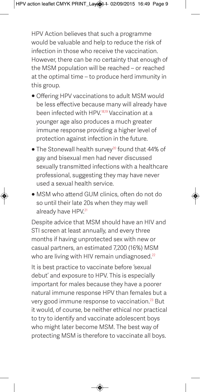HPV Action believes that such a programme would be valuable and help to reduce the risk of infection in those who receive the vaccination. However, there can be no certainty that enough of the MSM population will be reached – or reached at the optimal time – to produce herd immunity in this group.

- Offering HPV vaccinations to adult MSM would be less effective because many will already have been infected with HPV.18,19 Vaccination at a younger age also produces a much greater immune response providing a higher level of protection against infection in the future.
- The Stonewall health survey<sup>20</sup> found that 44% of gay and bisexual men had never discussed sexually transmitted infections with a healthcare professional, suggesting they may have never used a sexual health service.
- MSM who attend GUM clinics, often do not do so until their late 20s when they may well already have HPV.<sup>21</sup>

Despite advice that MSM should have an HIV and STI screen at least annually, and every three months if having unprotected sex with new or casual partners, an estimated 7,200 (16%) MSM who are living with HIV remain undiagnosed.<sup>22</sup>

It is best practice to vaccinate before 'sexual debut' and exposure to HPV. This is especially important for males because they have a poorer natural immune response HPV than females but a very good immune response to vaccination.23 But it would, of course, be neither ethical nor practical to try to identify and vaccinate adolescent boys who might later become MSM. The best way of protecting MSM is therefore to vaccinate all boys.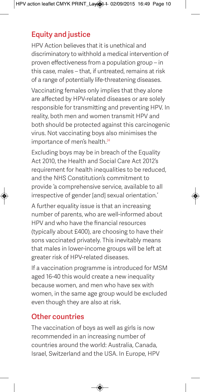# **Equity and justice**

HPV Action believes that it is unethical and discriminatory to withhold a medical intervention of proven effectiveness from a population group – in this case, males – that, if untreated, remains at risk of a range of potentially life-threatening diseases.

Vaccinating females only implies that they alone are affected by HPV-related diseases or are solely responsible for transmitting and preventing HPV. In reality, both men and women transmit HPV and both should be protected against this carcinogenic virus. Not vaccinating boys also minimises the importance of men's health.<sup>24</sup>

Excluding boys may be in breach of the Equality Act 2010, the Health and Social Care Act 2012's requirement for health inequalities to be reduced, and the NHS Constitution's commitment to provide 'a comprehensive service, available to all irrespective of gender [and] sexual orientation.'

A further equality issue is that an increasing number of parents, who are well-informed about HPV and who have the financial resources (typically about £400), are choosing to have their sons vaccinated privately. This inevitably means that males in lower-income groups will be left at greater risk of HPV-related diseases.

If a vaccination programme is introduced for MSM aged 16-40 this would create a new inequality because women, and men who have sex with women, in the same age group would be excluded even though they are also at risk.

# **Other countries**

The vaccination of boys as well as girls is now recommended in an increasing number of countries around the world: Australia, Canada, Israel, Switzerland and the USA. In Europe, HPV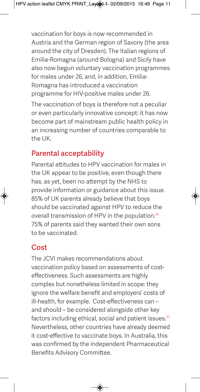vaccination for boys is now recommended in Austria and the German region of Saxony (the area around the city of Dresden). The Italian regions of Emilia-Romagna (around Bologna) and Sicily have also now begun voluntary vaccination programmes for males under 26, and, in addition, Emilia-Romagna has introduced a vaccination programme for HIV-positive males under 26.

The vaccination of boys is therefore not a peculiar or even particularly innovative concept: it has now become part of mainstream public health policy in an increasing number of countries comparable to the UK.

# **Parental acceptability**

Parental attitudes to HPV vaccination for males in the UK appear to be positive, even though there has, as yet, been no attempt by the NHS to provide information or guidance about this issue. 85% of UK parents already believe that boys should be vaccinated against HPV to reduce the overall transmission of HPV in the population.<sup>25</sup> 75% of parents said they wanted their own sons to be vaccinated.

# **Cost**

The JCVI makes recommendations about vaccination policy based on assessments of costeffectiveness. Such assessments are highly complex but nonetheless limited in scope: they ignore the welfare benefit and employers' costs of ill-health, for example. Cost-effectiveness can – and should – be considered alongside other key factors including ethical, social and patient issues. $27$ Nevertheless, other countries have already deemed it cost-effective to vaccinate boys. In Australia, this was confirmed by the independent Pharmaceutical Benefits Advisory Committee.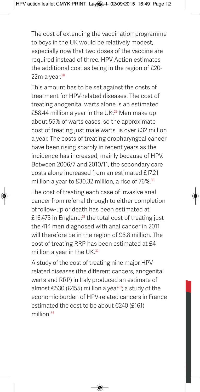The cost of extending the vaccination programme to boys in the UK would be relatively modest, especially now that two doses of the vaccine are required instead of three. HPV Action estimates the additional cost as being in the region of £20-  $22m$  a year. $28$ 

This amount has to be set against the costs of treatment for HPV-related diseases. The cost of treating anogenital warts alone is an estimated £58.44 million a year in the UK.<sup>29</sup> Men make up about 55% of warts cases, so the approximate cost of treating just male warts is over £32 million a year. The costs of treating oropharyngeal cancer have been rising sharply in recent years as the incidence has increased, mainly because of HPV. Between 2006/7 and 2010/11, the secondary care costs alone increased from an estimated £17.21 million a year to £30.32 million, a rise of 76%.<sup>30</sup>

The cost of treating each case of invasive anal cancer from referral through to either completion of follow-up or death has been estimated at £16,473 in England; $31$  the total cost of treating just the 414 men diagnosed with anal cancer in 2011 will therefore be in the region of £6.8 million. The cost of treating RRP has been estimated at £4 million a year in the UK.<sup>32</sup>

A study of the cost of treating nine major HPVrelated diseases (the different cancers, anogenital warts and RRP) in Italy produced an estimate of almost  $\epsilon$ 530 (£455) million a year<sup>33</sup>; a study of the economic burden of HPV-related cancers in France estimated the cost to be about €240 (£161) million.<sup>34</sup>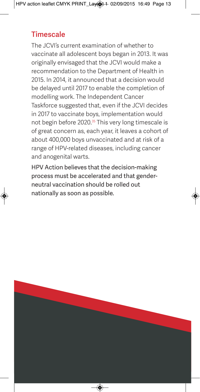## **Timescale**

The JCVI's current examination of whether to vaccinate all adolescent boys began in 2013. It was originally envisaged that the JCVI would make a recommendation to the Department of Health in 2015. In 2014, it announced that a decision would be delayed until 2017 to enable the completion of modelling work. The Independent Cancer Taskforce suggested that, even if the JCVI decides in 2017 to vaccinate boys, implementation would not begin before 2020.<sup>35</sup> This very long timescale is of great concern as, each year, it leaves a cohort of about 400,000 boys unvaccinated and at risk of a range of HPV-related diseases, including cancer and anogenital warts.

HPV Action believes that the decision-making process must be accelerated and that genderneutral vaccination should be rolled out nationally as soon as possible.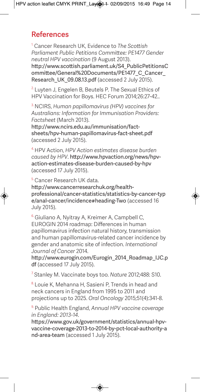#### **References**

1. Cancer Research UK, Evidence to *The Scottish Parliament Public Petitions Committee: PE1477 Gender neutral HPV vaccination* (9 August 2013).

[http://www.scottish.parliament.uk/S4\\_PublicPetitionsC](http://www.scottish.parliament.uk/S4_PublicPetitionsCommittee/General%20Documents/PE1477_C_Cancer_Research_UK_09.08.13.pdf) ommittee/General%20Documents/PE1477\_C\_Cancer\_ Research UK 09.08.13.pdf (accessed 2 July 2015).

 $2$  Luyten J, Engelen B, Beutels P. The Sexual Ethics of HPV Vaccination for Boys. HEC Forum 2014;26:27-42..

3. NCIRS, *Human papillomavirus (HPV) vaccines for Australians: Information for Immunisation Providers: Factsheet* (March 2013).

[http://www.ncirs.edu.au/immunisation/fac](http://www.ncirs.edu.au/immunisation/fact-sheets/hpv-human-papillomavirus-fact-sheet.pdf)t[sheets/hpv-human-papillomavirus-fact-sheet.pdf](http://www.ncirs.edu.au/immunisation/fact-sheets/hpv-human-papillomavirus-fact-sheet.pdf) (accessed 2 July 2015).

4. HPV Action, *HPV Action estimates disease burden caused by HPV*. [http://www.hpvaction.org/news/hp](http://www.hpvaction.org/news/hpv-action-estimates-disease-burden-caused-by-hpv)v[action-estimates-disease-burden-caused-by-hpv](http://www.hpvaction.org/news/hpvaction-estimates-disease-burden-caused-by-hpv) (accessed 17 July 2015).

5. Cancer Research UK data.

[http://www.cancerresearchuk.org/he](http://www.cancerresearchuk.org/health-professional/cancer-statistics/statistics-by-cancer-typ)alth[professional/cancer-statistics/statistics-by-](http://www.cancerresearchuk.org/health-professional/cancer-statistics/statistics-by-cancer-typ)[cancer-typ](http://www.cancerresearchuk.org/health-professional/cancer-statistics/statistics-by-cancer-type/anal-cancer/incidence#heading-Two) e/anal-cancer/incidence#heading-Two (accessed 16 July 2015).

<sup>6.</sup> Giuliano A, Nyitray A, Kreimer A, Campbell C, EUROGIN 2014 roadmap: Differences in human papillomavirus infection natural history, transmission and human papillomavirus-related cancer incidence by gender and anatomic site of infection. *International Journal of Cancer* 2014.

[http://www.eurogin.com/Eurogin\\_2014\\_Roadmap\\_IJC.p](http://www.eurogin.com/Eurogin_2014_Roadmap_IJC.pdf) df (accessed 17 July 2015).

7. Stanley M. Vaccinate boys too. *Nature* 2012;488: S10.

8. Louie K, Mehanna H, Sasieni P, Trends in head and neck cancers in England from 1995 to 2011 and projections up to 2025. *Oral Oncology* 2015;51(4):341-8.

9. Public Health England, *Annual HPV vaccine coverage in England: 2013-14*.

[https://www.gov.uk/government/statistics/annual-hp](https://www.gov.uk/government/statistics/annual-hpv-vaccine-coverage-2013-to-2014-by-pct-local-authority-a)v[vaccine-coverage-2013-to-2014-by-pct-local-authority-a](https://www.gov.uk/government/statistics/annual-hpvvaccine-coverage-2013-to-2014-by-pct-local-authority-and-area-team) nd-area-team (accessed 1 July 2015).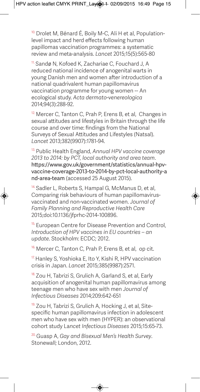<sup>10.</sup> Drolet M, Bénard É, Boily M-C, Ali H et al, Populationlevel impact and herd effects following human papillomas vaccination programmes: a systematic review and meta-analysis. *Lancet* 2015;15(5):565-80

11. Sandø N, Kofoed K, Zachariae C, Fouchard J, A reduced national incidence of anogenital warts in young Danish men and women after introduction of a national quadrivalent human papillomavirus vaccination programme for young women -- An ecological study. *Acta dermato-venereologica* 2014;94(3):288-92.

<sup>12.</sup> Mercer C, Tanton C, Prah P, Erens B, et al, Changes in sexual attitudes and lifestyles in Britain through the life course and over time: findings from the National Surveys of Sexual Attitudes and Lifestyles (Natsal). *Lancet* 2013;382(9907):1781-94.

13. Public Health England, *Annual HPV vaccine coverage 2013 to 2014: by PCT, local authority and area team*. [https://www.gov.uk/government/statistics/annual-hp](https://www.gov.uk/government/statistics/annual-hpv-vaccine-coverage-2013-to-2014-by-pct-local-authority-a)v[vaccine-coverage-2013-to-2014-by-pct-local-authority-a](https://www.gov.uk/government/statistics/annual-hpvvaccine-coverage-2013-to-2014-by-pct-local-authority-and-area-team) nd-area-team (accessed 25 August 2015).

<sup>14.</sup> Sadler L, Roberts S, Hampal G, McManus D, et al, Comparing risk behaviours of human papillomavirusvaccinated and non-vaccinated women. *Journal of Family Planning and Reproductive Health Care* 2015;doi:10.1136/jfprhc-2014-100896.

<sup>15.</sup> European Centre for Disease Prevention and Control, *Introduction of HPV vaccines in EU countries – an update*. Stockholm: ECDC; 2012.

<sup>16.</sup> Mercer C, Tanton C, Prah P, Erens B, et al, op cit.

<sup>17.</sup> Hanley S, Yoshioka E, Ito Y, Kishi R, HPV vaccination crisis in Japan. *Lancet* 2015;385(9987):2571.

18. Zou H, Tabrizi S, Grulich A, Garland S, et al, Early acquisition of anogenital human papillomavirus among teenage men who have sex with men *Journal of Infectious Diseases* 2014;209:642-651

<sup>19.</sup> Zou H, Tabrizi S, Grulich A, Hocking J, et al, Sitespecific human papillomavirus infection in adolescent men who have sex with men (HYPER): an observational cohort study La*ncet Infectious Diseases* 2015;15:65-73.

20. Guasp A, *Gay and Bisexual Men's Health Survey*. Stonewall; London, 2012.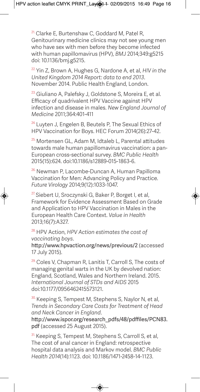<sup>21.</sup> Clarke E, Burtenshaw C, Goddard M, Patel R, Genitourinary medicine clinics may not see young men who have sex with men before they become infected with human papillomavirus (HPV), *BMJ* 2014;349:g5215 doi: 10.1136/bmj.g5215.

22. Yin Z, Brown A, Hughes G, Nardone A, et al, *HIV in the United Kingdom 2014 Report: data to end 2013*. November 2014. Public Health England, London.

<sup>23.</sup> Giuliano A, Palefsky J, Goldstone S, Moreira E, et al. Efficacy of quadrivalent HPV Vaccine against HPV infection and disease in males. *New England Journal of Medicine* 2011;364:401-411

<sup>24.</sup> Luyten J, Engelen B, Beutels P, The Sexual Ethics of HPV Vaccination for Boys. HEC Forum 2014(26):27-42.

25. Mortensen GL, Adam M, Idtaleb L, Parental attitudes towards male human papillomavirus vaccination: a pan-European cross-sectional survey. *BMC Public Health* 2015(15):624. doi:10.1186/s12889-015-1863-6.

<sup>26.</sup> Newman P, Lacombe-Duncan A, Human Papilloma Vaccination for Men: Advancing Policy and Practice. *Future Virology* 2014;9(12):1033-1047.

<sup>27.</sup> Siebert U, Sroczynski G, Baker P, Borget I, et al, Framework for Evidence Assessment Based on Grade and Application to HPV Vaccination in Males in the European Health Care Context. *Value in Health* 2013;16(7):A327.

28. HPV Action, *HPV Action estimates the cost of vaccinating boys*.

<http://www.hpvaction.org/news/previous/2> (accessed 17 July 2015).

<sup>29.</sup> Coles V, Chapman R, Lanitis T, Carroll S, The costs of managing genital warts in the UK by devolved nation: England, Scotland, Wales and Northern Ireland. 2015. *International Journal of STDs and AIDS* 2015 doi:10.1177/0956462415573121.

<sup>30.</sup> Keeping S, Tempest M, Stephens S, Naylor N, et al, *Trends in Secondary Care Costs for Treatment of Head and Neck Cancer in England*.

[http://www.ispor.org/research\\_pdfs/48/pdffiles/PCN83.](http://www.ispor.org/research_pdfs/48/pdffiles/PCN83.pdf) pdf (accessed 25 August 2015).

<sup>31.</sup> Keeping S, Tempest M, Stephens S, Carroll S, et al, The cost of anal cancer in England: retrospective hospital data analysis and Markov model. *BMC Public Health 2014*(14):1123. doi: 10.1186/1471-2458-14-1123.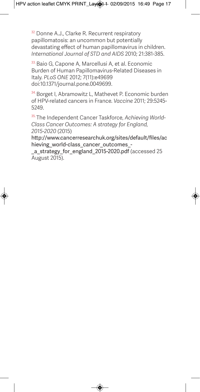<sup>32.</sup> Donne A.J., Clarke R. Recurrent respiratory papillomatosis: an uncommon but potentially devastating effect of human papillomavirus in children. *International Journal of STD and AIDS* 2010; 21:381-385.

33. Baio G, Capone A, Marcellusi A, et al. Economic Burden of Human Papillomavirus-Related Diseases in Italy. *PLoS ONE* 2012; 7(11):e49699 doi:10.1371/journal.pone.0049699.

34. Borget I, Abramowitz L, Mathevet P, Economic burden of HPV-related cancers in France. *Vaccine* 2011; 29:5245- 5249.

35. The Independent Cancer Taskforce, *Achieving World-Class Cancer Outcomes: A strategy for England, 2015-2020* (2015)

[http://www.cancerresearchuk.org/sites/default/files/ac](http://www.cancerresearchuk.org/sites/default/files/achieving_world-class_cancer_outcomes_-_a_strategy_for_england_2015-2020.pdf) hieving\_world-class\_cancer\_outcomes\_-

a\_strategy\_for\_england\_2015-2020.pdf (accessed 25 August 2015).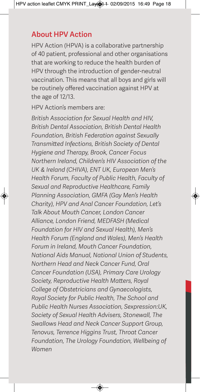## **About HPV Action**

HPV Action (HPVA) is a collaborative partnership of 40 patient, professional and other organisations that are working to reduce the health burden of HPV through the introduction of gender-neutral vaccination. This means that all boys and girls will be routinely offered vaccination against HPV at the age of 12/13.

HPV Action's members are:

*British Association for Sexual Health and HIV, British Dental Association, British Dental Health Foundation, British Federation against Sexually Transmitted Infections, British Society of Dental Hygiene and Therapy, Brook, Cancer Focus Northern Ireland, Children's HIV Association of the UK & Ireland (CHIVA), ENT UK, European Men's Health Forum, Faculty of Public Health, Faculty of Sexual and Reproductive Healthcare, Family Planning Association, GMFA (Gay Men's Health Charity), HPV and Anal Cancer Foundation, Let's Talk About Mouth Cancer, London Cancer Alliance, London Friend, MEDFASH (Medical Foundation for HIV and Sexual Health), Men's Health Forum (England and Wales), Men's Health Forum in Ireland, Mouth Cancer Foundation, National Aids Manual, National Union of Students, Northern Head and Neck Cancer Fund, Oral Cancer Foundation (USA), Primary Care Urology Society, Reproductive Health Matters, Royal College of Obstetricians and Gynaecologists, Royal Society for Public Health, The School and Public Health Nurses Association, Sexpression:UK, Society of Sexual Health Advisers, Stonewall, The Swallows Head and Neck Cancer Support Group, Tenovus, Terrence Higgins Trust, Throat Cancer Foundation, The Urology Foundation, Wellbeing of Women*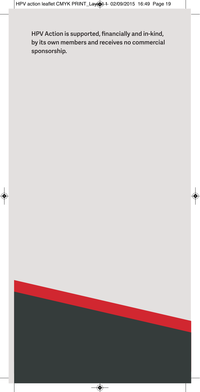**HPV Action is supported, financially and in-kind, by its own members and receives no commercial sponsorship.**